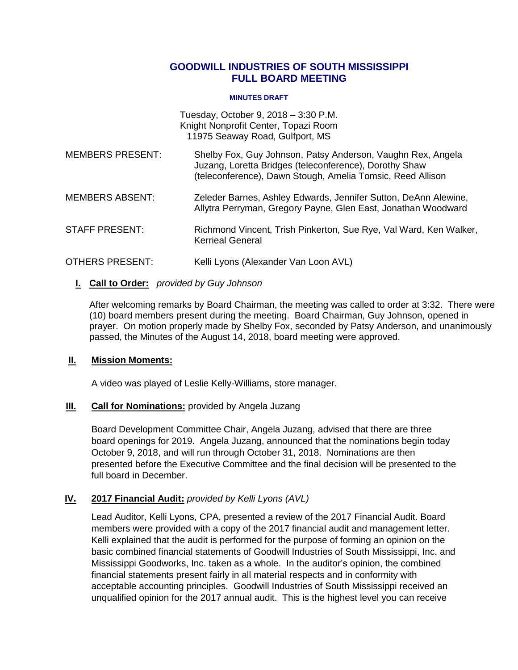## **GOODWILL INDUSTRIES OF SOUTH MISSISSIPPI FULL BOARD MEETING**

#### **MINUTES DRAFT**

Tuesday, October 9, 2018 – 3:30 P.M. Knight Nonprofit Center, Topazi Room 11975 Seaway Road, Gulfport, MS

- MEMBERS PRESENT: Shelby Fox, Guy Johnson, Patsy Anderson, Vaughn Rex, Angela Juzang, Loretta Bridges (teleconference), Dorothy Shaw (teleconference), Dawn Stough, Amelia Tomsic, Reed Allison
- MEMBERS ABSENT: Zeleder Barnes, Ashley Edwards, Jennifer Sutton, DeAnn Alewine, Allytra Perryman, Gregory Payne, Glen East, Jonathan Woodward
- STAFF PRESENT: Richmond Vincent, Trish Pinkerton, Sue Rye, Val Ward, Ken Walker, Kerrieal General
- OTHERS PRESENT: Kelli Lyons (Alexander Van Loon AVL)

### **I. I Call to Order:** *provided by Guy Johnson*

After welcoming remarks by Board Chairman, the meeting was called to order at 3:32. There were (10) board members present during the meeting. Board Chairman, Guy Johnson, opened in prayer. On motion properly made by Shelby Fox, seconded by Patsy Anderson, and unanimously passed, the Minutes of the August 14, 2018, board meeting were approved.

#### **II. Mission Moments:**

A video was played of Leslie Kelly-Williams, store manager.

#### **III. Call for Nominations:** provided by Angela Juzang

Board Development Committee Chair, Angela Juzang, advised that there are three board openings for 2019. Angela Juzang, announced that the nominations begin today October 9, 2018, and will run through October 31, 2018. Nominations are then presented before the Executive Committee and the final decision will be presented to the full board in December.

## **IV. 2017 Financial Audit:** *provided by Kelli Lyons (AVL)*

Lead Auditor, Kelli Lyons, CPA, presented a review of the 2017 Financial Audit. Board members were provided with a copy of the 2017 financial audit and management letter. Kelli explained that the audit is performed for the purpose of forming an opinion on the basic combined financial statements of Goodwill Industries of South Mississippi, Inc. and Mississippi Goodworks, Inc. taken as a whole. In the auditor's opinion, the combined financial statements present fairly in all material respects and in conformity with acceptable accounting principles. Goodwill Industries of South Mississippi received an unqualified opinion for the 2017 annual audit. This is the highest level you can receive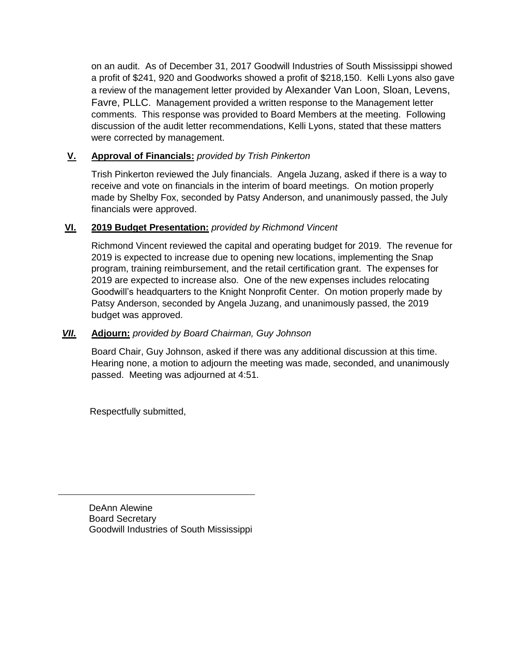on an audit. As of December 31, 2017 Goodwill Industries of South Mississippi showed a profit of \$241, 920 and Goodworks showed a profit of \$218,150. Kelli Lyons also gave a review of the management letter provided by Alexander Van Loon, Sloan, Levens, Favre, PLLC. Management provided a written response to the Management letter comments. This response was provided to Board Members at the meeting. Following discussion of the audit letter recommendations, Kelli Lyons, stated that these matters were corrected by management.

# **V. Approval of Financials:** *provided by Trish Pinkerton*

Trish Pinkerton reviewed the July financials. Angela Juzang, asked if there is a way to receive and vote on financials in the interim of board meetings. On motion properly made by Shelby Fox, seconded by Patsy Anderson, and unanimously passed, the July financials were approved.

# **VI. 2019 Budget Presentation:** *provided by Richmond Vincent*

Richmond Vincent reviewed the capital and operating budget for 2019. The revenue for 2019 is expected to increase due to opening new locations, implementing the Snap program, training reimbursement, and the retail certification grant. The expenses for 2019 are expected to increase also. One of the new expenses includes relocating Goodwill's headquarters to the Knight Nonprofit Center. On motion properly made by Patsy Anderson, seconded by Angela Juzang, and unanimously passed, the 2019 budget was approved.

# *VII.* **Adjourn:** *provided by Board Chairman, Guy Johnson*

Board Chair, Guy Johnson, asked if there was any additional discussion at this time. Hearing none, a motion to adjourn the meeting was made, seconded, and unanimously passed. Meeting was adjourned at 4:51.

Respectfully submitted,

DeAnn Alewine Board Secretary Goodwill Industries of South Mississippi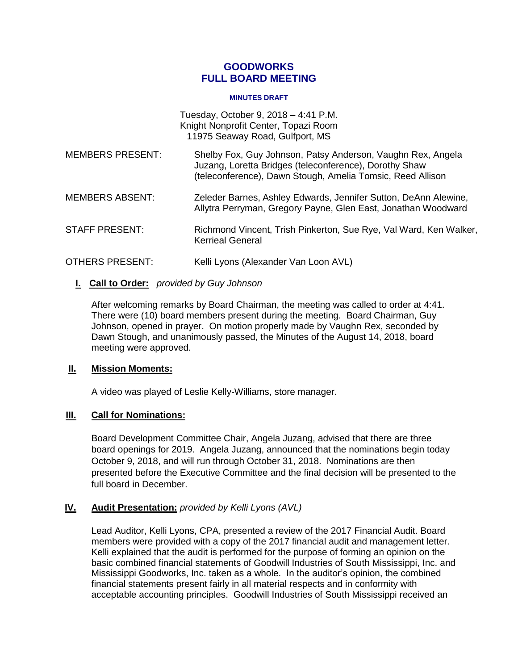## **GOODWORKS FULL BOARD MEETING**

#### **MINUTES DRAFT**

Tuesday, October 9, 2018 – 4:41 P.M. Knight Nonprofit Center, Topazi Room 11975 Seaway Road, Gulfport, MS

- MEMBERS PRESENT: Shelby Fox, Guy Johnson, Patsy Anderson, Vaughn Rex, Angela Juzang, Loretta Bridges (teleconference), Dorothy Shaw (teleconference), Dawn Stough, Amelia Tomsic, Reed Allison
- MEMBERS ABSENT: Zeleder Barnes, Ashley Edwards, Jennifer Sutton, DeAnn Alewine, Allytra Perryman, Gregory Payne, Glen East, Jonathan Woodward
- STAFF PRESENT: Richmond Vincent, Trish Pinkerton, Sue Rye, Val Ward, Ken Walker, Kerrieal General
- OTHERS PRESENT: Kelli Lyons (Alexander Van Loon AVL)

## **I. I Call to Order:** *provided by Guy Johnson*

After welcoming remarks by Board Chairman, the meeting was called to order at 4:41. There were (10) board members present during the meeting. Board Chairman, Guy Johnson, opened in prayer. On motion properly made by Vaughn Rex, seconded by Dawn Stough, and unanimously passed, the Minutes of the August 14, 2018, board meeting were approved.

#### **II. Mission Moments:**

A video was played of Leslie Kelly-Williams, store manager.

#### **III. Call for Nominations:**

Board Development Committee Chair, Angela Juzang, advised that there are three board openings for 2019. Angela Juzang, announced that the nominations begin today October 9, 2018, and will run through October 31, 2018. Nominations are then presented before the Executive Committee and the final decision will be presented to the full board in December.

## **IV. Audit Presentation:** *provided by Kelli Lyons (AVL)*

Lead Auditor, Kelli Lyons, CPA, presented a review of the 2017 Financial Audit. Board members were provided with a copy of the 2017 financial audit and management letter. Kelli explained that the audit is performed for the purpose of forming an opinion on the basic combined financial statements of Goodwill Industries of South Mississippi, Inc. and Mississippi Goodworks, Inc. taken as a whole. In the auditor's opinion, the combined financial statements present fairly in all material respects and in conformity with acceptable accounting principles. Goodwill Industries of South Mississippi received an